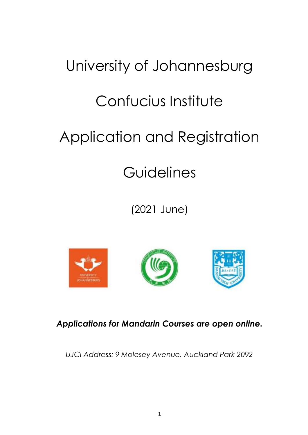# University of Johannesburg Confucius Institute Application and Registration

## **Guidelines**

(2021 June)







*Applications for Mandarin Courses are open online.*

*UJCI Address: 9 Molesey Avenue, Auckland Park 2092*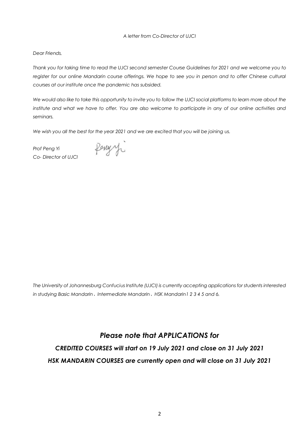#### *A letter from Co-Director of UJCI*

#### *Dear Friends,*

*Thank you for taking time to read the UJCI second semester Course Guidelines for 2021 and we welcome you to register for our online Mandarin course offerings. We hope to see you in person and to offer Chinese cultural courses at our institute once the pandemic has subsided.*

*We would also like to take this opportunity to invite you to follow the UJCI social platforms to learn more about the institute and what we have to offer. You are also welcome to participate in any of our online activities and seminars.* 

*We wish you all the best for the year 2021 and we are excited that you will be joining us.* 

*Prof Peng Yi Co- Director of UJCI*

Ponyy

*The University of Johannesburg Confucius Institute (UJCI) is currently accepting applications for students interested in studying Basic Mandarin*、*Intermediate Mandarin*、*HSK Mandarin1 2 3 4 5 and 6.* 

#### *Please note that APPLICATIONS for*

*CREDITED COURSES will start on 19 July 2021 and close on 31 July 2021 HSK MANDARIN COURSES are currently open and will close on 31 July 2021*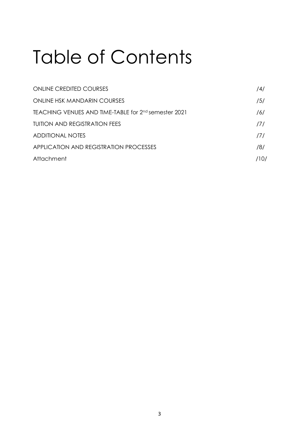# Table of Contents

| <b>ONLINE CREDITED COURSES</b>                                   | /4/  |
|------------------------------------------------------------------|------|
| <b>ONLINE HSK MANDARIN COURSES</b>                               | /5/  |
| TEACHING VENUES AND TIME-TABLE for 2 <sup>nd</sup> semester 2021 | /6/  |
| <b>TUITION AND REGISTRATION FEES</b>                             | 171  |
| <b>ADDITIONAL NOTES</b>                                          | 171  |
| APPLICATION AND REGISTRATION PROCESSES                           | /8/  |
| Attachment                                                       | /10/ |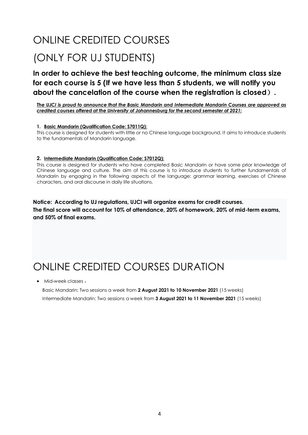### ONLINE CREDITED COURSES (ONLY FOR UJ STUDENTS)

**In order to achieve the best teaching outcome, the minimum class size for each course is 5 (If we have less than 5 students, we will notify you about the cancelation of the course when the registration is closed**)**.**

*The UJCI is proud to announce that the Basic Mandarin and Intermediate Mandarin Courses are approved as credited courses offered at the University of Johannesburg for the second semester of 2021:* 

#### **1. Basic Mandarin (Qualification Code: S7011Q):**

This course is designed for students with little or no Chinese language background. It aims to introduce students to the fundamentals of Mandarin language.

#### **2. Intermediate Mandarin (Qualification Code: S7012Q):**

This course is designed for students who have completed Basic Mandarin or have some prior knowledge of Chinese language and culture. The aim of this course is to introduce students to further fundamentals of Mandarin by engaging in the following aspects of the language: grammar learning, exercises of Chinese characters, and oral discourse in daily life situations.

**Notice: According to UJ regulations, UJCI will organize exams for credit courses. The final score will account for 10% of attendance, 20% of homework, 20% of mid-term exams, and 50% of final exams.**

### ONLINE CREDITED COURSES DURATION

Mid-week classes :

Basic Mandarin: Two sessions a week from **2 August 2021 to 10 November 2021** (15 weeks) Intermediate Mandarin: Two sessions a week from **3 August 2021 to 11 November 2021** (15 weeks)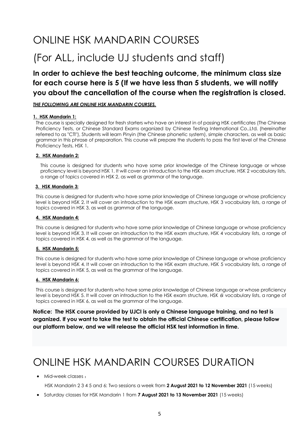### ONLINE HSK MANDARIN COURSES

### (For ALL, include UJ students and staff)

#### **In order to achieve the best teaching outcome, the minimum class size for each course here is 5 (If we have less than 5 students, we will notify you about the cancellation of the course when the registration is closed.**

#### *THE FOLLOWING ARE ONLINE HSK MANDARIN COURSES.*

#### **1. HSK Mandarin 1:**

The course is specially designed for fresh starters who have an interest in of passing HSK certificates (The Chinese Proficiency Tests, or Chinese Standard Exams organized by Chinese Testing International Co.,Ltd. (hereinafter referred to as "CTI"), Students will learn Pinyin (the Chinese phonetic system), simple characters, as well as basic grammar in this phrase of preparation. This course will prepare the students to pass the first level of the Chinese Proficiency Tests, HSK 1.

#### **2. HSK Mandarin 2:**

This course is designed for students who have some prior knowledge of the Chinese language or whose proficiency level is beyond HSK 1. It will cover an introduction to the HSK exam structure, HSK 2 vocabulary lists, a range of topics covered in HSK 2, as well as grammar of the language.

#### **3. HSK Mandarin 3:**

This course is designed for students who have some prior knowledge of Chinese language or whose proficiency level is beyond HSK 2. It will cover an introduction to the HSK exam structure, HSK 3 vocabulary lists, a range of topics covered in HSK 3, as well as grammar of the language.

#### **4. HSK Mandarin 4:**

This course is designed for students who have some prior knowledge of Chinese language or whose proficiency level is beyond HSK 3. It will cover an introduction to the HSK exam structure, HSK 4 vocabulary lists, a range of topics covered in HSK 4, as well as the grammar of the language.

#### **5. HSK Mandarin 5:**

This course is designed for students who have some prior knowledge of Chinese language or whose proficiency level is beyond HSK 4. It will cover an introduction to the HSK exam structure, HSK 5 vocabulary lists, a range of topics covered in HSK 5, as well as the grammar of the language.

#### **6. HSK Mandarin 6:**

This course is designed for students who have some prior knowledge of Chinese language or whose proficiency level is beyond HSK 5. It will cover an introduction to the HSK exam structure, HSK 6I vocabulary lists, a range of topics covered in HSK 6, as well as the grammar of the language.

**Notice: The HSK course provided by UJCI is only a Chinese language training, and no test is organized. If you want to take the test to obtain the official Chinese certification, please follow our platform below, and we will release the official HSK test information in time.**

### ONLINE HSK MANDARIN COURSES DURATION

 $\bullet$  Mid-week classes:

HSK Mandarin 2 3 4 5 and 6: Two sessions a week from **2 August 2021 to 12 November 2021** (15 weeks)

**Saturday classes for HSK Mandarin 1 from 7 August 2021 to 13 November 2021** (15 weeks)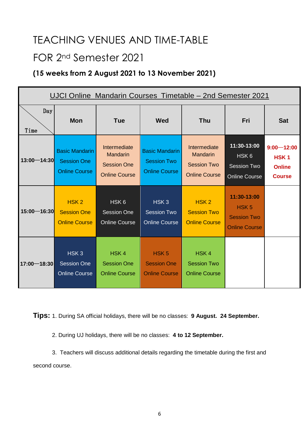### TEACHING VENUES AND TIME-TABLE

### FOR 2nd Semester 2021

#### **(15 weeks from 2 August 2021 to 13 November 2021)**

| UJCI Online Mandarin Courses Timetable – 2nd Semester 2021 |                                                                     |                                                                               |                                                                     |                                                                               |                                                                               |                                                                      |  |  |
|------------------------------------------------------------|---------------------------------------------------------------------|-------------------------------------------------------------------------------|---------------------------------------------------------------------|-------------------------------------------------------------------------------|-------------------------------------------------------------------------------|----------------------------------------------------------------------|--|--|
| Day<br>Time                                                | <b>Mon</b>                                                          | <b>Tue</b>                                                                    | <b>Wed</b>                                                          | <b>Thu</b>                                                                    | Fri                                                                           | <b>Sat</b>                                                           |  |  |
| $13:00 - 14:30$                                            | <b>Basic Mandarin</b><br><b>Session One</b><br><b>Online Course</b> | Intermediate<br><b>Mandarin</b><br><b>Session One</b><br><b>Online Course</b> | <b>Basic Mandarin</b><br><b>Session Two</b><br><b>Online Course</b> | Intermediate<br><b>Mandarin</b><br><b>Session Two</b><br><b>Online Course</b> | 11:30-13:00<br>HSK <sub>6</sub><br><b>Session Two</b><br><b>Online Course</b> | $9:00 - 12:00$<br>HSK <sub>1</sub><br><b>Online</b><br><b>Course</b> |  |  |
| $15:00 - 16:30$                                            | HSK <sub>2</sub><br><b>Session One</b><br><b>Online Course</b>      | HSK <sub>6</sub><br><b>Session One</b><br><b>Online Course</b>                | HSK <sub>3</sub><br><b>Session Two</b><br><b>Online Course</b>      | HSK <sub>2</sub><br><b>Session Two</b><br><b>Online Course</b>                | 11:30-13:00<br>HSK <sub>5</sub><br><b>Session Two</b><br><b>Online Course</b> |                                                                      |  |  |
| 17:00-18:30                                                | HSK <sub>3</sub><br><b>Session One</b><br><b>Online Course</b>      | HSK <sub>4</sub><br><b>Session One</b><br><b>Online Course</b>                | HSK <sub>5</sub><br><b>Session One</b><br><b>Online Course</b>      | HSK4<br><b>Session Two</b><br><b>Online Course</b>                            |                                                                               |                                                                      |  |  |

**Tips:** 1. During SA official holidays, there will be no classes: **9 August. 24 September.** 

2. During UJ holidays, there will be no classes: **4 to 12 September.**

 3. Teachers will discuss additional details regarding the timetable during the first and second course.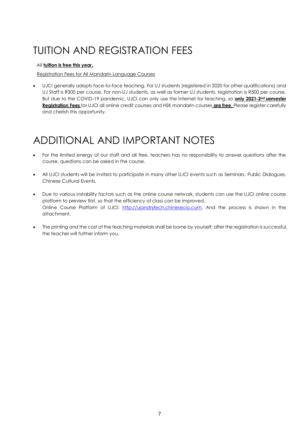### TUITION AND REGISTRATION FEES

#### All **tuition is free this year.**

Registration Fees for All Mandarin Language Courses

 UJCI generally adopts face-to-face teaching. For UJ students (registered in 2020 for other qualifications) and UJ Staff is R300 per course. For non-UJ students, as well as former UJ students, registration is R500 per course. But due to the COVID-19 pandemic, UJCI can only use the Internet for teaching, so **only 2021-2nd semester Registration Fees** for UJCI all online credit courses and HSK mandarin courses **are free**. Please register carefully and cherish this opportunity.

### ADDITIONAL AND IMPORTANT NOTES

- For the limited energy of our staff and all free, teachers has no responsibility to answer questions after the course, questions can be asked in the course.
- All UJCI students will be invited to participate in many other UJCI events such as Seminars, Public Dialogues, Chinese Cultural Events.
- Due to various instability factors such as the online course network, students can use the UJCI online course platform to preview first, so that the efficiency of class can be improved. Online Course Platform of UJCI: [http://ujandnjtech.chinesecio.com.](http://ujandnjtech.chinesecio.com/) And the process is shown in the attachment.
- The printing and the cost of the teaching materials shall be borne by yourself; after the registration is successful, the teacher will further inform you.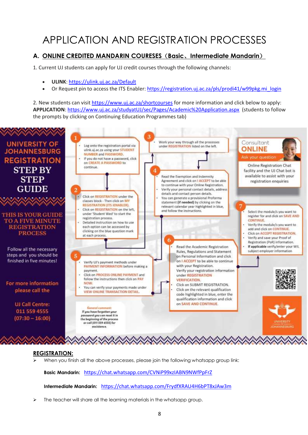### APPLICATION AND REGISTRATION PROCESSES

#### **A. ONLINE CREDITED MANDARIN COURESES**(**Basic**、**Intermediate Mandarin**)

1. Current UJ students can apply for UJ credit courses through the following channels:

- **ULINK**: [https://ulink.uj.ac.za/Default](https://eur01.safelinks.protection.outlook.com/?url=https%3A%2F%2Fulink.uj.ac.za%2FDefault&data=04%7C01%7Cchenxiz%40uj.ac.za%7Cc4f0d5654e1f4599360208d92b389545%7Cfa785acd36ef41bc8a9489841327e045%7C0%7C0%7C637588344302762585%7CUnknown%7CTWFpbGZsb3d8eyJWIjoiMC4wLjAwMDAiLCJQIjoiV2luMzIiLCJBTiI6Ik1haWwiLCJXVCI6Mn0%3D%7C1000&sdata=udkf8460Ocbg25Atz59%2Fe%2BPdcioygipEtf%2Frh5BH0WY%3D&reserved=0)
- Or Request pin to access the ITS Enabler: [https://registration.uj.ac.za/pls/prodi41/w99pkg.mi\\_login](https://eur01.safelinks.protection.outlook.com/?url=https%3A%2F%2Fregistration.uj.ac.za%2Fpls%2Fprodi41%2Fw99pkg.mi_login&data=04%7C01%7Cchenxiz%40uj.ac.za%7Cc4f0d5654e1f4599360208d92b389545%7Cfa785acd36ef41bc8a9489841327e045%7C0%7C0%7C637588344302762585%7CUnknown%7CTWFpbGZsb3d8eyJWIjoiMC4wLjAwMDAiLCJQIjoiV2luMzIiLCJBTiI6Ik1haWwiLCJXVCI6Mn0%3D%7C1000&sdata=AqQe%2BHuPYQc0J9q6RfW1RI2PGtFXp6rWH8JEJnsxzns%3D&reserved=0)

2. New students can visit <https://www.uj.ac.za/shortcourses> for more information and click below to apply: **APPLICATION**: <https://www.uj.ac.za/studyatUJ/sec/Pages/Academic%20Application.aspx> (students to follow the prompts by clicking on Continuing Education Programmes tab)



#### **REGISTRATION:**

When you finish all the above processes, please join the following whatsapp group link:

**Basic Mandarin:** https://chat.whatsapp.com/CVNiP99xzIABN9NWfPpFrZ

**Intermediate Mandarin:** https://chat.whatsapp.com/FrydfXRAU4H6bPT8xJAw3m

 $\triangleright$  The teacher will share all the learning materials in the whatsapp group.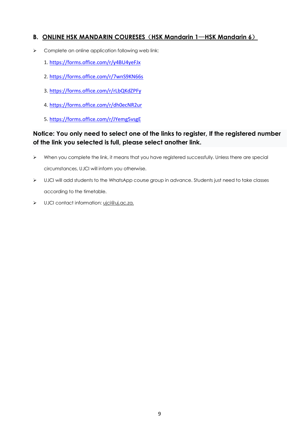#### **B. ONLINE HSK MANDARIN COURESES**(**HSK Mandarin 1**—**HSK Mandarin 6**)

- $\triangleright$  Complete an online application following web link:
	- 1. [https://forms.office.com/r/y4BU4yeFJx](https://eur01.safelinks.protection.outlook.com/?url=https%3A%2F%2Fforms.office.com%2Fr%2Fy4BU4yeFJx&data=04%7C01%7Cchenxiz%40uj.ac.za%7Cc4f0d5654e1f4599360208d92b389545%7Cfa785acd36ef41bc8a9489841327e045%7C0%7C0%7C637588344302732322%7CUnknown%7CTWFpbGZsb3d8eyJWIjoiMC4wLjAwMDAiLCJQIjoiV2luMzIiLCJBTiI6Ik1haWwiLCJXVCI6Mn0%3D%7C1000&sdata=HUoMoYw0FkO33Cj8vyvfVvkGHJ39YGTiRrR3BZqrNkc%3D&reserved=0)
	- 2. [https://forms.office.com/r/7wnS9KN66s](https://eur01.safelinks.protection.outlook.com/?url=https%3A%2F%2Fforms.office.com%2Fr%2F7wnS9KN66s&data=04%7C01%7Cchenxiz%40uj.ac.za%7Cc4f0d5654e1f4599360208d92b389545%7Cfa785acd36ef41bc8a9489841327e045%7C0%7C0%7C637588344302742362%7CUnknown%7CTWFpbGZsb3d8eyJWIjoiMC4wLjAwMDAiLCJQIjoiV2luMzIiLCJBTiI6Ik1haWwiLCJXVCI6Mn0%3D%7C1000&sdata=gL4T8yw5KmAM5mNgTUjn4MffxfCd1j%2Bl249RPCFfVLU%3D&reserved=0)
	- 3. [https://forms.office.com/r/rLbQKdZPFy](https://eur01.safelinks.protection.outlook.com/?url=https%3A%2F%2Fforms.office.com%2Fr%2FrLbQKdZPFy&data=04%7C01%7Cchenxiz%40uj.ac.za%7Cc4f0d5654e1f4599360208d92b389545%7Cfa785acd36ef41bc8a9489841327e045%7C0%7C0%7C637588344302742362%7CUnknown%7CTWFpbGZsb3d8eyJWIjoiMC4wLjAwMDAiLCJQIjoiV2luMzIiLCJBTiI6Ik1haWwiLCJXVCI6Mn0%3D%7C1000&sdata=ECz0VurhM9Z5qNXEwql1%2BJIklNoqinqQ3u1SkXNP4xc%3D&reserved=0)
	- 4. [https://forms.office.com/r/dh0ecNR2ur](https://eur01.safelinks.protection.outlook.com/?url=https%3A%2F%2Fforms.office.com%2Fr%2Fdh0ecNR2ur&data=04%7C01%7Cchenxiz%40uj.ac.za%7Cc4f0d5654e1f4599360208d92b389545%7Cfa785acd36ef41bc8a9489841327e045%7C0%7C0%7C637588344302752320%7CUnknown%7CTWFpbGZsb3d8eyJWIjoiMC4wLjAwMDAiLCJQIjoiV2luMzIiLCJBTiI6Ik1haWwiLCJXVCI6Mn0%3D%7C1000&sdata=yAfaMeeI6mJZCslI8hAFNMSE4c1kk7DuRITjuf3ovgw%3D&reserved=0)
	- 5. [https://forms.office.com/r/JYemg5vsgE](https://eur01.safelinks.protection.outlook.com/?url=https%3A%2F%2Fforms.office.com%2Fr%2FJYemg5vsgE&data=04%7C01%7Cchenxiz%40uj.ac.za%7Cc4f0d5654e1f4599360208d92b389545%7Cfa785acd36ef41bc8a9489841327e045%7C0%7C0%7C637588344302752320%7CUnknown%7CTWFpbGZsb3d8eyJWIjoiMC4wLjAwMDAiLCJQIjoiV2luMzIiLCJBTiI6Ik1haWwiLCJXVCI6Mn0%3D%7C1000&sdata=EksgMJ7PlZhUz%2B05tPnKAhExd2VVwTTqSOOrXAfuWqw%3D&reserved=0)

#### **Notice: You only need to select one of the links to register, If the registered number of the link you selected is full, please select another link.**

- $\triangleright$  When you complete the link, it means that you have registered successfully. Unless there are special circumstances, UJCI will inform you otherwise.
- $\triangleright$  UJCI will add students to the WhatsApp course group in advance. Students just need to take classes according to the timetable.
- > UJCI contact information: vici@ui.ac.za.